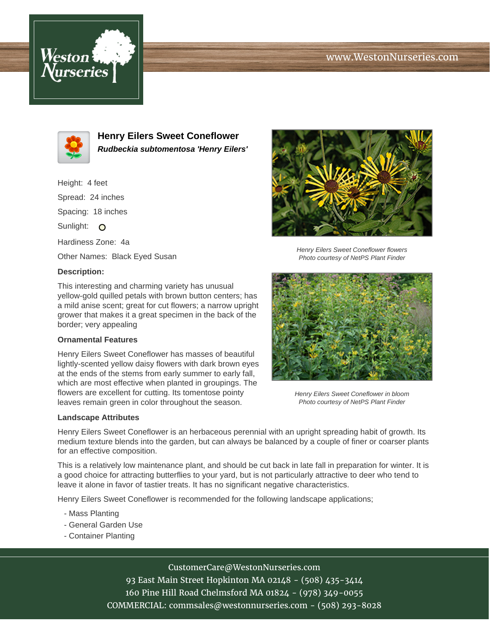# www.WestonNurseries.com





**Henry Eilers Sweet Coneflower Rudbeckia subtomentosa 'Henry Eilers'**

Height: 4 feet Spread: 24 inches Spacing: 18 inches Sunlight:  $\circ$ Hardiness Zone: 4a Other Names: Black Eyed Susan

### **Description:**

This interesting and charming variety has unusual yellow-gold quilled petals with brown button centers; has a mild anise scent; great for cut flowers; a narrow upright grower that makes it a great specimen in the back of the border; very appealing

#### **Ornamental Features**

Henry Eilers Sweet Coneflower has masses of beautiful lightly-scented yellow daisy flowers with dark brown eyes at the ends of the stems from early summer to early fall, which are most effective when planted in groupings. The flowers are excellent for cutting. Its tomentose pointy leaves remain green in color throughout the season.

#### **Landscape Attributes**



Henry Eilers Sweet Coneflower flowers Photo courtesy of NetPS Plant Finder



Henry Eilers Sweet Coneflower in bloom Photo courtesy of NetPS Plant Finder

Henry Eilers Sweet Coneflower is an herbaceous perennial with an upright spreading habit of growth. Its medium texture blends into the garden, but can always be balanced by a couple of finer or coarser plants for an effective composition.

This is a relatively low maintenance plant, and should be cut back in late fall in preparation for winter. It is a good choice for attracting butterflies to your yard, but is not particularly attractive to deer who tend to leave it alone in favor of tastier treats. It has no significant negative characteristics.

Henry Eilers Sweet Coneflower is recommended for the following landscape applications;

- Mass Planting
- General Garden Use
- Container Planting

CustomerCare@WestonNurseries.com

93 East Main Street Hopkinton MA 02148 - (508) 435-3414 160 Pine Hill Road Chelmsford MA 01824 - (978) 349-0055 COMMERCIAL: commsales@westonnurseries.com - (508) 293-8028